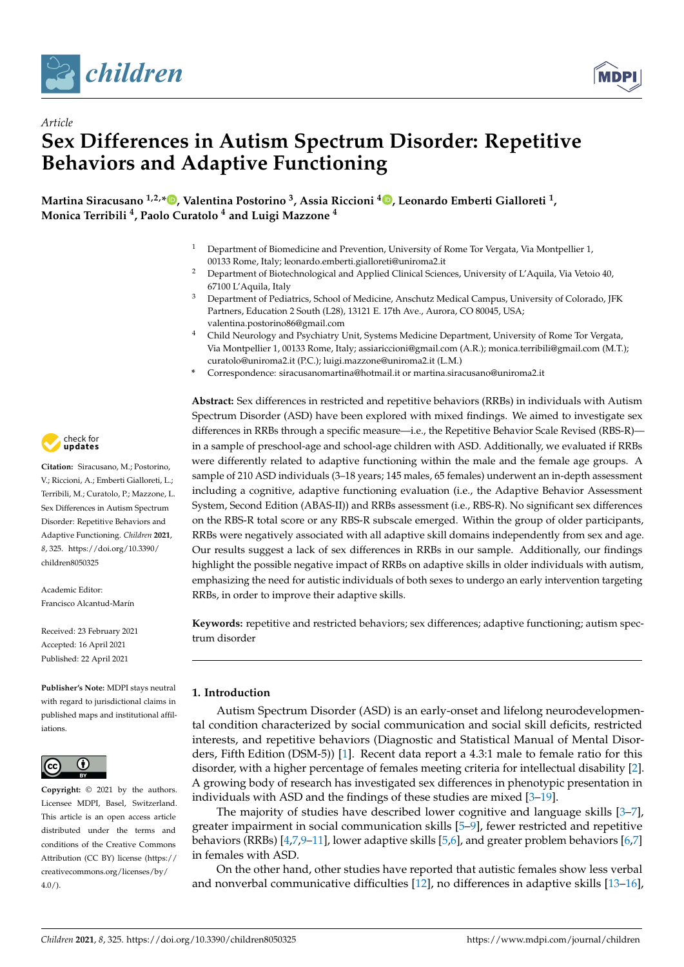

*Article*



# **Sex Differences in Autism Spectrum Disorder: Repetitive Behaviors and Adaptive Functioning**

**Martina Siracusano 1,2,[\\*](https://orcid.org/0000-0002-3357-1788) , Valentina Postorino <sup>3</sup> , Assia Riccioni <sup>4</sup> [,](https://orcid.org/0000-0001-6496-8756) Leonardo Emberti Gialloreti <sup>1</sup> , Monica Terribili <sup>4</sup> , Paolo Curatolo <sup>4</sup> and Luigi Mazzone <sup>4</sup>**

- <sup>1</sup> Department of Biomedicine and Prevention, University of Rome Tor Vergata, Via Montpellier 1, 00133 Rome, Italy; leonardo.emberti.gialloreti@uniroma2.it
- <sup>2</sup> Department of Biotechnological and Applied Clinical Sciences, University of L'Aquila, Via Vetoio 40, 67100 L'Aquila, Italy
- <sup>3</sup> Department of Pediatrics, School of Medicine, Anschutz Medical Campus, University of Colorado, JFK Partners, Education 2 South (L28), 13121 E. 17th Ave., Aurora, CO 80045, USA; valentina.postorino86@gmail.com
- <sup>4</sup> Child Neurology and Psychiatry Unit, Systems Medicine Department, University of Rome Tor Vergata, Via Montpellier 1, 00133 Rome, Italy; assiariccioni@gmail.com (A.R.); monica.terribili@gmail.com (M.T.); curatolo@uniroma2.it (P.C.); luigi.mazzone@uniroma2.it (L.M.)
- **\*** Correspondence: siracusanomartina@hotmail.it or martina.siracusano@uniroma2.it

**Abstract:** Sex differences in restricted and repetitive behaviors (RRBs) in individuals with Autism Spectrum Disorder (ASD) have been explored with mixed findings. We aimed to investigate sex differences in RRBs through a specific measure—i.e., the Repetitive Behavior Scale Revised (RBS-R) in a sample of preschool-age and school-age children with ASD. Additionally, we evaluated if RRBs were differently related to adaptive functioning within the male and the female age groups. A sample of 210 ASD individuals (3–18 years; 145 males, 65 females) underwent an in-depth assessment including a cognitive, adaptive functioning evaluation (i.e., the Adaptive Behavior Assessment System, Second Edition (ABAS-II)) and RRBs assessment (i.e., RBS-R). No significant sex differences on the RBS-R total score or any RBS-R subscale emerged. Within the group of older participants, RRBs were negatively associated with all adaptive skill domains independently from sex and age. Our results suggest a lack of sex differences in RRBs in our sample. Additionally, our findings highlight the possible negative impact of RRBs on adaptive skills in older individuals with autism, emphasizing the need for autistic individuals of both sexes to undergo an early intervention targeting RRBs, in order to improve their adaptive skills.

**Keywords:** repetitive and restricted behaviors; sex differences; adaptive functioning; autism spectrum disorder

# **1. Introduction**

Autism Spectrum Disorder (ASD) is an early-onset and lifelong neurodevelopmental condition characterized by social communication and social skill deficits, restricted interests, and repetitive behaviors (Diagnostic and Statistical Manual of Mental Disorders, Fifth Edition (DSM-5)) [\[1\]](#page-9-0). Recent data report a 4.3:1 male to female ratio for this disorder, with a higher percentage of females meeting criteria for intellectual disability [\[2\]](#page-9-1). A growing body of research has investigated sex differences in phenotypic presentation in individuals with ASD and the findings of these studies are mixed [\[3–](#page-9-2)[19\]](#page-9-3).

The majority of studies have described lower cognitive and language skills [\[3–](#page-9-2)[7\]](#page-9-4), greater impairment in social communication skills [\[5](#page-9-5)[–9\]](#page-9-6), fewer restricted and repetitive behaviors (RRBs) [\[4,](#page-9-7)[7,](#page-9-4)9-[11\]](#page-9-8), lower adaptive skills [\[5](#page-9-5)[,6\]](#page-9-9), and greater problem behaviors [\[6,](#page-9-9)[7\]](#page-9-4) in females with ASD.

On the other hand, other studies have reported that autistic females show less verbal and nonverbal communicative difficulties [\[12\]](#page-9-10), no differences in adaptive skills [\[13–](#page-9-11)[16\]](#page-9-12),



**Citation:** Siracusano, M.; Postorino, V.; Riccioni, A.; Emberti Gialloreti, L.; Terribili, M.; Curatolo, P.; Mazzone, L. Sex Differences in Autism Spectrum Disorder: Repetitive Behaviors and Adaptive Functioning. *Children* **2021**, *8*, 325. [https://doi.org/10.3390/](https://doi.org/10.3390/children8050325) [children8050325](https://doi.org/10.3390/children8050325)

Academic Editor: Francisco Alcantud-Marín

Received: 23 February 2021 Accepted: 16 April 2021 Published: 22 April 2021

**Publisher's Note:** MDPI stays neutral with regard to jurisdictional claims in published maps and institutional affiliations.



**Copyright:** © 2021 by the authors. Licensee MDPI, Basel, Switzerland. This article is an open access article distributed under the terms and conditions of the Creative Commons Attribution (CC BY) license (https:/[/](https://creativecommons.org/licenses/by/4.0/) [creativecommons.org/licenses/by/](https://creativecommons.org/licenses/by/4.0/)  $4.0/$ ).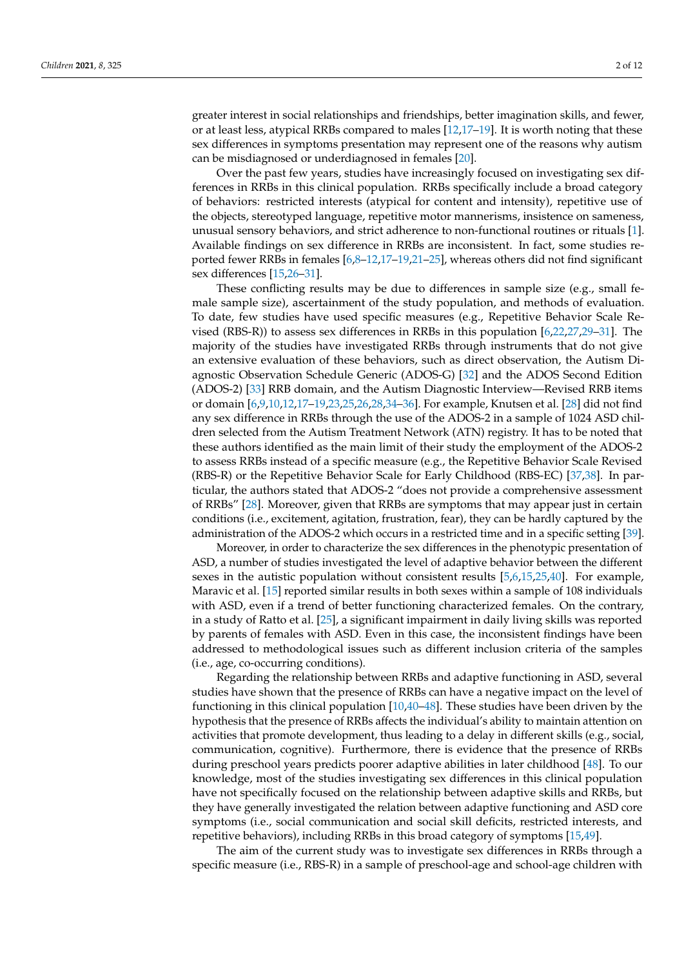greater interest in social relationships and friendships, better imagination skills, and fewer, or at least less, atypical RRBs compared to males [\[12](#page-9-10)[,17](#page-9-13)[–19\]](#page-9-3). It is worth noting that these sex differences in symptoms presentation may represent one of the reasons why autism can be misdiagnosed or underdiagnosed in females [\[20\]](#page-9-14).

Over the past few years, studies have increasingly focused on investigating sex differences in RRBs in this clinical population. RRBs specifically include a broad category of behaviors: restricted interests (atypical for content and intensity), repetitive use of the objects, stereotyped language, repetitive motor mannerisms, insistence on sameness, unusual sensory behaviors, and strict adherence to non-functional routines or rituals [\[1\]](#page-9-0). Available findings on sex difference in RRBs are inconsistent. In fact, some studies reported fewer RRBs in females [\[6,](#page-9-9)[8–](#page-9-15)[12](#page-9-10)[,17](#page-9-13)[–19,](#page-9-3)[21–](#page-9-16)[25\]](#page-9-17), whereas others did not find significant sex differences [\[15,](#page-9-18)[26](#page-9-19)[–31\]](#page-10-0).

These conflicting results may be due to differences in sample size (e.g., small female sample size), ascertainment of the study population, and methods of evaluation. To date, few studies have used specific measures (e.g., Repetitive Behavior Scale Revised (RBS-R)) to assess sex differences in RRBs in this population [\[6,](#page-9-9)[22,](#page-9-20)[27,](#page-10-1)[29–](#page-10-2)[31\]](#page-10-0). The majority of the studies have investigated RRBs through instruments that do not give an extensive evaluation of these behaviors, such as direct observation, the Autism Diagnostic Observation Schedule Generic (ADOS-G) [\[32\]](#page-10-3) and the ADOS Second Edition (ADOS-2) [\[33\]](#page-10-4) RRB domain, and the Autism Diagnostic Interview—Revised RRB items or domain [\[6,](#page-9-9)[9,](#page-9-6)[10,](#page-9-21)[12,](#page-9-10)[17](#page-9-13)[–19](#page-9-3)[,23](#page-9-22)[,25](#page-9-17)[,26](#page-9-19)[,28,](#page-10-5)[34–](#page-10-6)[36\]](#page-10-7). For example, Knutsen et al. [\[28\]](#page-10-5) did not find any sex difference in RRBs through the use of the ADOS-2 in a sample of 1024 ASD children selected from the Autism Treatment Network (ATN) registry. It has to be noted that these authors identified as the main limit of their study the employment of the ADOS-2 to assess RRBs instead of a specific measure (e.g., the Repetitive Behavior Scale Revised (RBS-R) or the Repetitive Behavior Scale for Early Childhood (RBS-EC) [\[37,](#page-10-8)[38\]](#page-10-9). In particular, the authors stated that ADOS-2 "does not provide a comprehensive assessment of RRBs" [\[28\]](#page-10-5). Moreover, given that RRBs are symptoms that may appear just in certain conditions (i.e., excitement, agitation, frustration, fear), they can be hardly captured by the administration of the ADOS-2 which occurs in a restricted time and in a specific setting [\[39\]](#page-10-10).

Moreover, in order to characterize the sex differences in the phenotypic presentation of ASD, a number of studies investigated the level of adaptive behavior between the different sexes in the autistic population without consistent results [\[5,](#page-9-5)[6,](#page-9-9)[15,](#page-9-18)[25,](#page-9-17)[40\]](#page-10-11). For example, Maravic et al. [\[15\]](#page-9-18) reported similar results in both sexes within a sample of 108 individuals with ASD, even if a trend of better functioning characterized females. On the contrary, in a study of Ratto et al. [\[25\]](#page-9-17), a significant impairment in daily living skills was reported by parents of females with ASD. Even in this case, the inconsistent findings have been addressed to methodological issues such as different inclusion criteria of the samples (i.e., age, co-occurring conditions).

Regarding the relationship between RRBs and adaptive functioning in ASD, several studies have shown that the presence of RRBs can have a negative impact on the level of functioning in this clinical population [\[10](#page-9-21)[,40](#page-10-11)[–48\]](#page-10-12). These studies have been driven by the hypothesis that the presence of RRBs affects the individual's ability to maintain attention on activities that promote development, thus leading to a delay in different skills (e.g., social, communication, cognitive). Furthermore, there is evidence that the presence of RRBs during preschool years predicts poorer adaptive abilities in later childhood [\[48\]](#page-10-12). To our knowledge, most of the studies investigating sex differences in this clinical population have not specifically focused on the relationship between adaptive skills and RRBs, but they have generally investigated the relation between adaptive functioning and ASD core symptoms (i.e., social communication and social skill deficits, restricted interests, and repetitive behaviors), including RRBs in this broad category of symptoms [\[15](#page-9-18)[,49\]](#page-10-13).

The aim of the current study was to investigate sex differences in RRBs through a specific measure (i.e., RBS-R) in a sample of preschool-age and school-age children with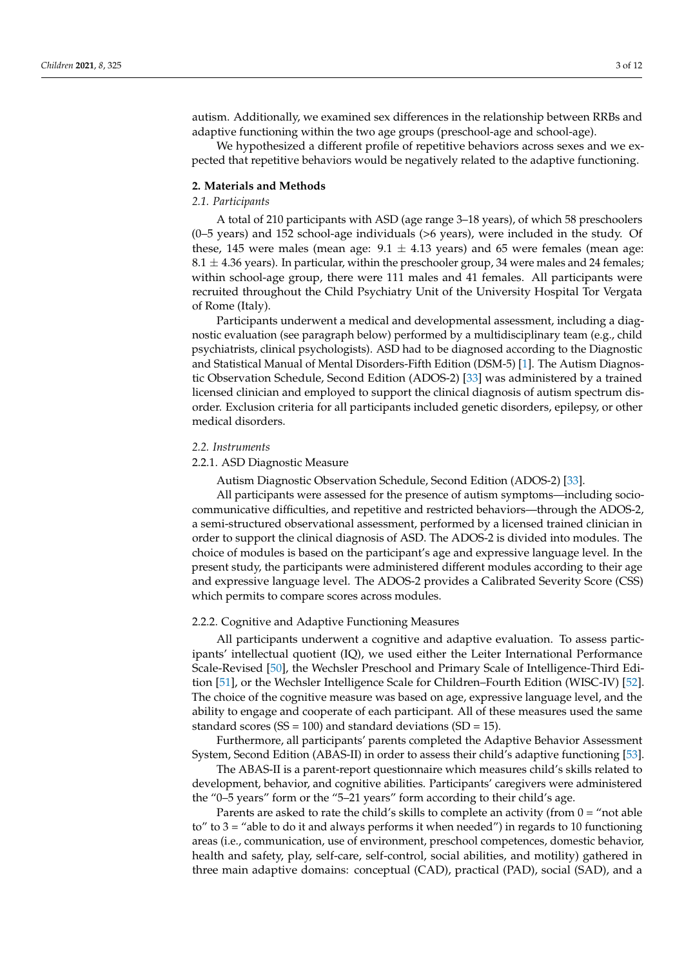autism. Additionally, we examined sex differences in the relationship between RRBs and adaptive functioning within the two age groups (preschool-age and school-age).

We hypothesized a different profile of repetitive behaviors across sexes and we expected that repetitive behaviors would be negatively related to the adaptive functioning.

## **2. Materials and Methods**

## *2.1. Participants*

A total of 210 participants with ASD (age range 3–18 years), of which 58 preschoolers (0–5 years) and 152 school-age individuals (>6 years), were included in the study. Of these, 145 were males (mean age:  $9.1 \pm 4.13$  years) and 65 were females (mean age:  $8.1 \pm 4.36$  years). In particular, within the preschooler group, 34 were males and 24 females; within school-age group, there were 111 males and 41 females. All participants were recruited throughout the Child Psychiatry Unit of the University Hospital Tor Vergata of Rome (Italy).

Participants underwent a medical and developmental assessment, including a diagnostic evaluation (see paragraph below) performed by a multidisciplinary team (e.g., child psychiatrists, clinical psychologists). ASD had to be diagnosed according to the Diagnostic and Statistical Manual of Mental Disorders-Fifth Edition (DSM-5) [\[1\]](#page-9-0). The Autism Diagnostic Observation Schedule, Second Edition (ADOS-2) [\[33\]](#page-10-4) was administered by a trained licensed clinician and employed to support the clinical diagnosis of autism spectrum disorder. Exclusion criteria for all participants included genetic disorders, epilepsy, or other medical disorders.

#### *2.2. Instruments*

### 2.2.1. ASD Diagnostic Measure

Autism Diagnostic Observation Schedule, Second Edition (ADOS-2) [\[33\]](#page-10-4).

All participants were assessed for the presence of autism symptoms—including sociocommunicative difficulties, and repetitive and restricted behaviors—through the ADOS-2, a semi-structured observational assessment, performed by a licensed trained clinician in order to support the clinical diagnosis of ASD. The ADOS-2 is divided into modules. The choice of modules is based on the participant's age and expressive language level. In the present study, the participants were administered different modules according to their age and expressive language level. The ADOS-2 provides a Calibrated Severity Score (CSS) which permits to compare scores across modules.

# 2.2.2. Cognitive and Adaptive Functioning Measures

All participants underwent a cognitive and adaptive evaluation. To assess participants' intellectual quotient (IQ), we used either the Leiter International Performance Scale-Revised [\[50\]](#page-10-14), the Wechsler Preschool and Primary Scale of Intelligence-Third Edition [\[51\]](#page-10-15), or the Wechsler Intelligence Scale for Children–Fourth Edition (WISC-IV) [\[52\]](#page-10-16). The choice of the cognitive measure was based on age, expressive language level, and the ability to engage and cooperate of each participant. All of these measures used the same standard scores ( $SS = 100$ ) and standard deviations ( $SD = 15$ ).

Furthermore, all participants' parents completed the Adaptive Behavior Assessment System, Second Edition (ABAS-II) in order to assess their child's adaptive functioning [\[53\]](#page-10-17).

The ABAS-II is a parent-report questionnaire which measures child's skills related to development, behavior, and cognitive abilities. Participants' caregivers were administered the "0–5 years" form or the "5–21 years" form according to their child's age.

Parents are asked to rate the child's skills to complete an activity (from  $0 =$  "not able to" to  $3 =$  "able to do it and always performs it when needed") in regards to 10 functioning areas (i.e., communication, use of environment, preschool competences, domestic behavior, health and safety, play, self-care, self-control, social abilities, and motility) gathered in three main adaptive domains: conceptual (CAD), practical (PAD), social (SAD), and a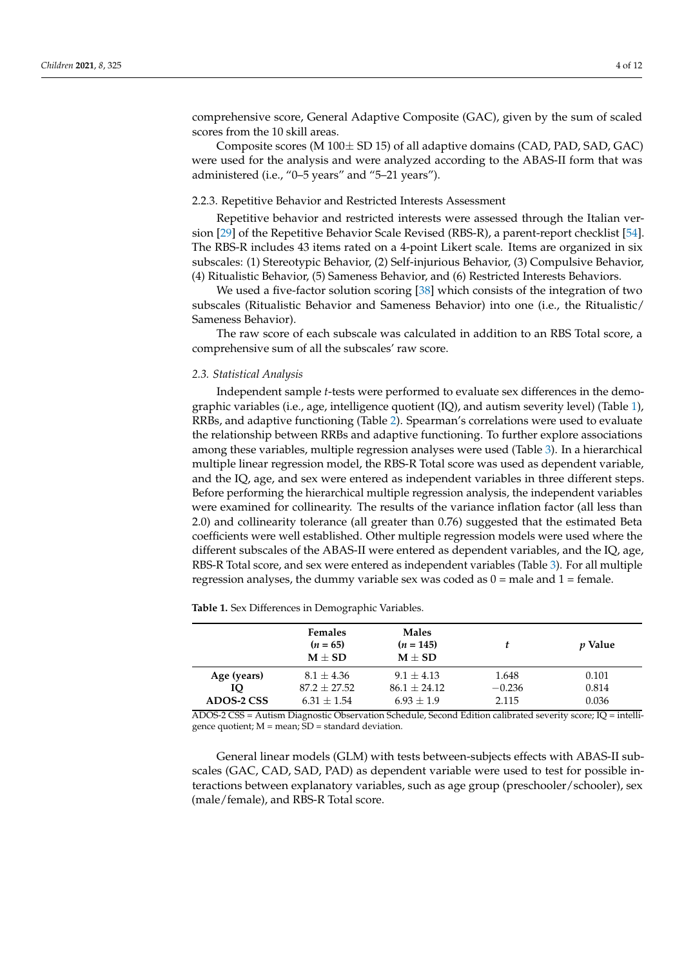comprehensive score, General Adaptive Composite (GAC), given by the sum of scaled scores from the 10 skill areas.

Composite scores (M 100± SD 15) of all adaptive domains (CAD, PAD, SAD, GAC) were used for the analysis and were analyzed according to the ABAS-II form that was administered (i.e., "0–5 years" and "5–21 years").

#### 2.2.3. Repetitive Behavior and Restricted Interests Assessment

Repetitive behavior and restricted interests were assessed through the Italian version [\[29\]](#page-10-2) of the Repetitive Behavior Scale Revised (RBS-R), a parent-report checklist [\[54\]](#page-11-0). The RBS-R includes 43 items rated on a 4-point Likert scale. Items are organized in six subscales: (1) Stereotypic Behavior, (2) Self-injurious Behavior, (3) Compulsive Behavior, (4) Ritualistic Behavior, (5) Sameness Behavior, and (6) Restricted Interests Behaviors.

We used a five-factor solution scoring [\[38\]](#page-10-9) which consists of the integration of two subscales (Ritualistic Behavior and Sameness Behavior) into one (i.e., the Ritualistic/ Sameness Behavior).

The raw score of each subscale was calculated in addition to an RBS Total score, a comprehensive sum of all the subscales' raw score.

## *2.3. Statistical Analysis*

Independent sample *t*-tests were performed to evaluate sex differences in the demographic variables (i.e., age, intelligence quotient (IQ), and autism severity level) (Table [1\)](#page-3-0), RRBs, and adaptive functioning (Table [2\)](#page-4-0). Spearman's correlations were used to evaluate the relationship between RRBs and adaptive functioning. To further explore associations among these variables, multiple regression analyses were used (Table [3\)](#page-5-0). In a hierarchical multiple linear regression model, the RBS-R Total score was used as dependent variable, and the IQ, age, and sex were entered as independent variables in three different steps. Before performing the hierarchical multiple regression analysis, the independent variables were examined for collinearity. The results of the variance inflation factor (all less than 2.0) and collinearity tolerance (all greater than 0.76) suggested that the estimated Beta coefficients were well established. Other multiple regression models were used where the different subscales of the ABAS-II were entered as dependent variables, and the IQ, age, RBS-R Total score, and sex were entered as independent variables (Table [3\)](#page-5-0). For all multiple regression analyses, the dummy variable sex was coded as  $0 =$  male and  $1 =$  female.

<span id="page-3-0"></span>**Table 1.** Sex Differences in Demographic Variables.

|             | <b>Females</b><br>$(n = 65)$<br>$M \pm SD$ | <b>Males</b><br>$(n = 145)$<br>$M + SD$ |          | <i>v</i> Value |
|-------------|--------------------------------------------|-----------------------------------------|----------|----------------|
| Age (years) | $8.1 + 4.36$                               | $9.1 + 4.13$                            | 1.648    | 0.101          |
| IO          | $87.2 + 27.52$                             | $86.1 + 24.12$                          | $-0.236$ | 0.814          |
| ADOS-2 CSS  | $6.31 + 1.54$                              | $6.93 + 1.9$                            | 2.115    | 0.036          |

ADOS-2 CSS = Autism Diagnostic Observation Schedule, Second Edition calibrated severity score; IQ = intelligence quotient;  $M =$  mean;  $SD =$  standard deviation.

General linear models (GLM) with tests between-subjects effects with ABAS-II subscales (GAC, CAD, SAD, PAD) as dependent variable were used to test for possible interactions between explanatory variables, such as age group (preschooler/schooler), sex (male/female), and RBS-R Total score.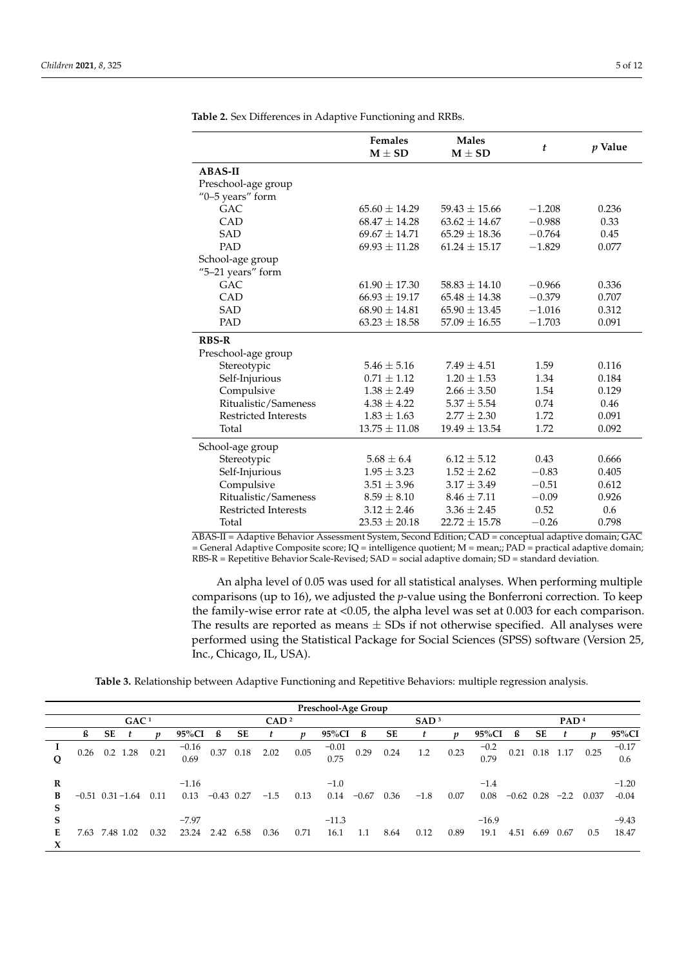|                             | <b>Females</b><br>$M \pm SD$ | <b>Males</b><br>$M \pm SD$ | t        | <i>p</i> Value |
|-----------------------------|------------------------------|----------------------------|----------|----------------|
| <b>ABAS-II</b>              |                              |                            |          |                |
| Preschool-age group         |                              |                            |          |                |
| "0-5 years" form            |                              |                            |          |                |
| <b>GAC</b>                  | $65.60 \pm 14.29$            | $59.43 \pm 15.66$          | $-1.208$ | 0.236          |
| CAD                         | $68.47 \pm 14.28$            | $63.62 \pm 14.67$          | $-0.988$ | 0.33           |
| <b>SAD</b>                  | $69.67 \pm 14.71$            | $65.29 \pm 18.36$          | $-0.764$ | 0.45           |
| <b>PAD</b>                  | $69.93 \pm 11.28$            | $61.24 \pm 15.17$          | $-1.829$ | 0.077          |
| School-age group            |                              |                            |          |                |
| "5-21 years" form           |                              |                            |          |                |
| GAC.                        | $61.90 \pm 17.30$            | $58.83 + 14.10$            | $-0.966$ | 0.336          |
| CAD                         | $66.93 \pm 19.17$            | $65.48 \pm 14.38$          | $-0.379$ | 0.707          |
| <b>SAD</b>                  | $68.90 \pm 14.81$            | $65.90 \pm 13.45$          | $-1.016$ | 0.312          |
| PAD                         | $63.23 \pm 18.58$            | $57.09 \pm 16.55$          | $-1.703$ | 0.091          |
| <b>RBS-R</b>                |                              |                            |          |                |
| Preschool-age group         |                              |                            |          |                |
| Stereotypic                 | $5.46 + 5.16$                | $7.49 + 4.51$              | 1.59     | 0.116          |
| Self-Injurious              | $0.71 \pm 1.12$              | $1.20 \pm 1.53$            | 1.34     | 0.184          |
| Compulsive                  | $1.38 \pm 2.49$              | $2.66 \pm 3.50$            | 1.54     | 0.129          |
| Ritualistic/Sameness        | $4.38 \pm 4.22$              | $5.37 \pm 5.54$            | 0.74     | 0.46           |
| <b>Restricted Interests</b> | $1.83 \pm 1.63$              | $2.77 \pm 2.30$            | 1.72     | 0.091          |
| Total                       | $13.75 \pm 11.08$            | $19.49 \pm 13.54$          | 1.72     | 0.092          |
| School-age group            |                              |                            |          |                |
| Stereotypic                 | $5.68 \pm 6.4$               | $6.12 + 5.12$              | 0.43     | 0.666          |
| Self-Injurious              | $1.95 \pm 3.23$              | $1.52 \pm 2.62$            | $-0.83$  | 0.405          |
| Compulsive                  | $3.51 \pm 3.96$              | $3.17 \pm 3.49$            | $-0.51$  | 0.612          |
| Ritualistic/Sameness        | $8.59 \pm 8.10$              | $8.46 \pm 7.11$            | $-0.09$  | 0.926          |
| <b>Restricted Interests</b> | $3.12 \pm 2.46$              | $3.36 \pm 2.45$            | 0.52     | 0.6            |
| Total                       | $23.53 \pm 20.18$            | $22.72 \pm 15.78$          | $-0.26$  | 0.798          |

<span id="page-4-0"></span>**Table 2.** Sex Differences in Adaptive Functioning and RRBs.

ABAS-II = Adaptive Behavior Assessment System, Second Edition; CAD = conceptual adaptive domain; GAC  $=$  General Adaptive Composite score; IQ  $=$  intelligence quotient; M  $=$  mean;; PAD  $=$  practical adaptive domain; RBS-R = Repetitive Behavior Scale-Revised; SAD = social adaptive domain; SD = standard deviation.

An alpha level of 0.05 was used for all statistical analyses. When performing multiple comparisons (up to 16), we adjusted the *p*-value using the Bonferroni correction. To keep the family-wise error rate at <0.05, the alpha level was set at 0.003 for each comparison. The results are reported as means  $\pm$  SDs if not otherwise specified. All analyses were performed using the Statistical Package for Social Sciences (SPSS) software (Version 25, Inc., Chicago, IL, USA).

**Table 3.** Relationship between Adaptive Functioning and Repetitive Behaviors: multiple regression analysis.<br>-

|             |                       |    |                  |      |                  |                  |           |        |      | Preschool-Age Group |         |      |        |      |                  |              |      |                      |       |                    |
|-------------|-----------------------|----|------------------|------|------------------|------------------|-----------|--------|------|---------------------|---------|------|--------|------|------------------|--------------|------|----------------------|-------|--------------------|
|             |                       |    | GAC <sup>1</sup> |      |                  | CAD <sup>2</sup> |           |        |      | SAD <sup>3</sup>    |         |      |        |      | PAD <sup>4</sup> |              |      |                      |       |                    |
|             | ß                     | SE |                  | n    | 95%CI            | ß                | SE        | t      | n    | 95%CI               | ß       | SE   |        | n    | 95%CI            | ß            | SE   |                      |       | 95%CI              |
|             | 0.26                  |    | $0.2$ 1.28       | 0.21 | $-0.16$<br>0.69  |                  | 0.37 0.18 | 2.02   | 0.05 | $-0.01$<br>0.75     | 0.29    | 0.24 | 1.2    | 0.23 | $-0.2$<br>0.79   |              |      | $0.21$ $0.18$ $1.17$ | 0.25  | $-0.17$<br>0.6     |
| R<br>B<br>S | $-0.51$ $0.31 - 1.64$ |    |                  | 0.11 | $-1.16$<br>0.13  | $-0.43$ 0.27     |           | $-1.5$ | 0.13 | $-1.0$<br>0.14      | $-0.67$ | 0.36 | $-1.8$ | 0.07 | $-1.4$<br>0.08   | $-0.62$ 0.28 |      | $-2.2$               | 0.037 | $-1.20$<br>$-0.04$ |
| S<br>Е<br>X | 7.63                  |    | 7.48 1.02        | 0.32 | $-7.97$<br>23.24 | 2.42             | 6.58      | 0.36   | 0.71 | $-11.3$<br>16.1     | 1.1     | 8.64 | 0.12   | 0.89 | $-16.9$<br>19.1  | 4.51         | 6.69 | 0.67                 | 0.5   | $-9.43$<br>18.47   |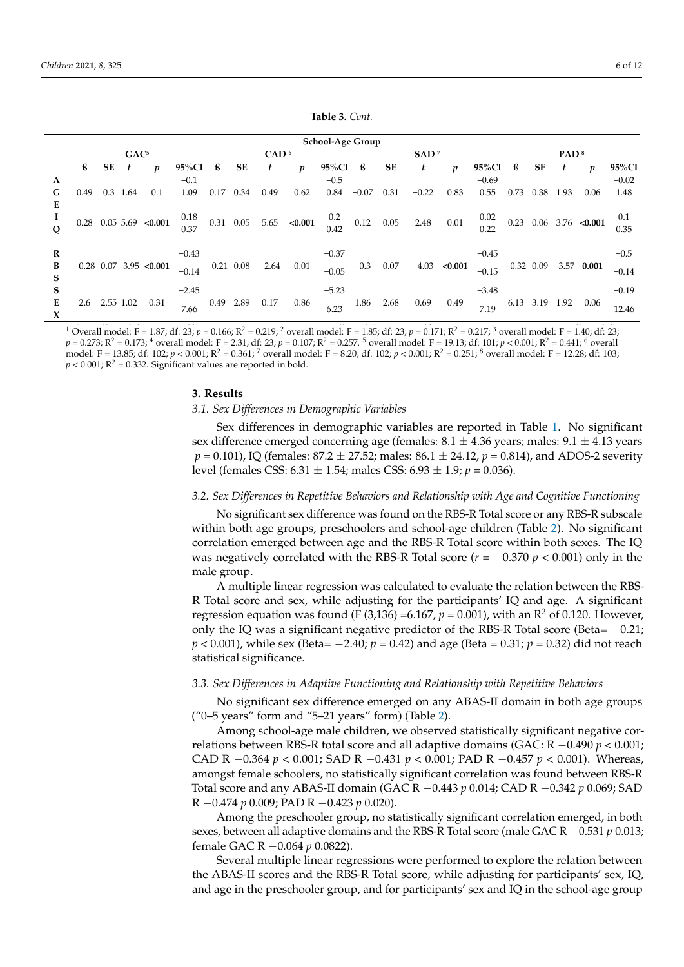**S** 

**X**

<span id="page-5-0"></span>

|                   |      |    | GAC <sup>5</sup> |                             |         |           |      | CAD <sup>6</sup>     |                                                         | School-Age Group |                                                                         |           | SAD <sup>7</sup> |                |         |      |                | PAD <sup>8</sup> |                             |         |
|-------------------|------|----|------------------|-----------------------------|---------|-----------|------|----------------------|---------------------------------------------------------|------------------|-------------------------------------------------------------------------|-----------|------------------|----------------|---------|------|----------------|------------------|-----------------------------|---------|
|                   | ß    | SE |                  | n                           | 95%CI   | ß         | SE   | t                    | n                                                       | 95%CI            | ß                                                                       | <b>SE</b> |                  |                | 95%CI   | ß    | SE             |                  |                             | 95%Cl   |
| A                 |      |    |                  |                             | $-0.1$  |           |      |                      |                                                         | $-0.5$           |                                                                         |           |                  |                | $-0.69$ |      |                |                  |                             | $-0.02$ |
| G                 | 0.49 |    | 0.3 1.64         | 0.1                         | 1.09    | 0.17      | 0.34 | 0.49                 | 0.62                                                    | 0.84             | $-0.07$                                                                 | 0.31      | $-0.22$          | 0.83           | 0.55    | 0.73 | 0.38           | 1.93             | 0.06                        | 1.48    |
| Е                 |      |    |                  |                             |         |           |      |                      |                                                         |                  |                                                                         |           |                  |                |         |      |                |                  |                             |         |
| 1                 |      |    |                  | $0.28$ $0.05$ $5.69$ <0.001 |         |           |      |                      | $\begin{array}{cccc} 0.18 & 0.31 & 0.05 & 5.65 & 0.001$ |                  | $\begin{array}{cc} 0.2 & 0.12 & 0.05 \\ 0.42 & 0.12 & 0.05 \end{array}$ |           | 2.48             | 0.01           | 0.02    |      |                |                  | $0.23$ $0.06$ $3.76$ <0.001 | 0.1     |
|                   |      |    |                  |                             |         |           |      |                      |                                                         |                  |                                                                         |           |                  |                | 0.22    |      |                |                  |                             | 0.35    |
| R                 |      |    |                  |                             | $-0.43$ |           |      |                      |                                                         | $-0.37$          |                                                                         |           |                  |                | $-0.45$ |      |                |                  |                             | $-0.5$  |
| B                 |      |    |                  | $-0.28$ 0.07 $-3.95$ <0.001 | $-0.14$ |           |      | $-0.21$ 0.08 $-2.64$ | 0.01                                                    | $-0.05$          | $-0.3$                                                                  | 0.07      |                  | $-4.03$ <0.001 | $-0.15$ |      |                |                  | $-0.32$ 0.09 $-3.57$ 0.001  |         |
| S                 |      |    |                  |                             |         |           |      |                      |                                                         |                  |                                                                         |           |                  |                |         |      |                |                  |                             | $-0.14$ |
| S                 |      |    |                  |                             | $-2.45$ |           |      |                      |                                                         | $-5.23$          |                                                                         |           |                  |                | $-3.48$ |      |                |                  |                             | $-0.19$ |
| Е<br>$\mathbf{v}$ | 2.6  |    | 2.55 1.02        | 0.31                        | 7.66    | 0.49 2.89 |      | 0.17                 | 0.86                                                    | 6.23             | 1.86                                                                    | 2.68      | 0.69             | 0.49           | 7.19    |      | 6.13 3.19 1.92 |                  | 0.06                        | 12.46   |

**Table 3.** *Cont.*

<sup>1</sup> Overall model: F = 1.87; df: 23; p = 0.166; R<sup>2</sup> = 0.219; <sup>2</sup> overall model: F = 1.85; df: 23; p = 0.171; R<sup>2</sup> = 0.217; <sup>3</sup> overall model: F = 1.40; df: 23;  $p = 0.273$ ; R<sup>2</sup> = 0.173; <sup>4</sup> overall model: F = 2.31; df: 23;  $p = 0.107$ ; R<sup>2</sup> = 0.257. <sup>5</sup> overall model: F = 19.13; df: 101;  $p < 0.001$ ; R<sup>2</sup> = 0.441; <sup>6</sup> overall<br>model: F = 13.85; df: 102;  $p < 0.001$ ; R<sup>2</sup> = 0.361; <sup>7</sup> nodel: F = 13.85; df: 102; *p* < 0.001; R<sup>2</sup> = 0.361; <sup>7</sup> overall model: F = 8.20; df: 102; *p* < 0.001; R<sup>2</sup> = 0.251; <sup>8</sup> overall model: F = 12.28; df: 103;  $p < 0.001; R<sup>2</sup> = 0.332$ . Significant values are reported in bold.

# **3. Results 3. Results**

# *3.1. Sex Differences in Demographic Variables. 3.1. Sex Differences in Demographic Variables*

Sex differences in demographic variables are reported in Table [1.](#page-3-0) No significant sex difference emerged concerning age (females:  $8.1 \pm 4.36$  years; males:  $9.1 \pm 4.13$  years  $p = 0.101$ ), IQ (females: 87.2 ± 27.52; males: 86.1 ± 24.12,  $p = 0.814$ ), and ADOS-2 severity (females CSS: 6.31 ± 1.54; males CSS: 6.93 ± 1.9; *p* = 0.036). level (females CSS: 6.31 ± 1.54; males CSS: 6.93 ± 1.9; *p* = 0.036).

# *3.2. Sex Differences in Repetitive Behaviors and Relationship with Age and Cognitive 3.2. Sex Differences in Repetitive Behaviors and Relationship with Age and Cognitive Functioning*

No significant sex difference was found on the RBS-R Total score or any RBS-R subscale no significant sex difference was found on the RBS-R Total score within both sexes. The IQ correlation emerged between age and the RBS-R Total score within both sexes. The IQ scale with a groups and school  $\mu$  and school-age groups, preschool-age children ( $\tau = 0.270$ .  $\mu$   $\geq 0.001$ ) only in the was negatively correlated with the RBS-R Total score ( $r = -0.370$   $p < 0.001$ ) only in the male group. within both age groups, preschoolers and school-age children (Table [2\)](#page-4-0). No significant male group.

------- <sub>B</sub>-0.0<sub>1</sub>.<br>
<sup>A</sup> multiple linear regression was calculated to evaluate the relation between the RBS-R Total score and sex, while adjusting for the participants' IQ and age. A significant regression equation was found (F (3,136) =6.167,  $p = 0.001$ ), with an R<sup>2</sup> of 0.120. However, only the IQ was a significant negative predictor of the RBS-R Total score (Beta=  $-0.21$ ;  $p < 0.001$ ), while sex (Beta= -2.40;  $p = 0.42$ ) and age (Beta = 0.31;  $p = 0.32$ ) did not reach only the IQ was a significant negative predictor of the RBS-R Total score (Beta= −0.21; *p* < statistical significance. 0.001), while sex (Beta= −2.40; *p* = 0.42) and age (Beta = 0.31; *p* = 0.32) did not reach statistical

# 3.3. Sex Differences in Adaptive Functioning and Relationship with Repetitive Behaviors

No significant sex difference emerged on any ABAS-II domain in both age groups ("0–5 years" form and "5–21 years" form) (Table [2\)](#page-4-0).

Among school-age male children, we observed statistically significant negative correlations between RBS-R total score and all adaptive domains (GAC: R −0.490 *p* < 0.001; CAD R −0.364 *p* < 0.001; SAD R −0.431 *p* < 0.001; PAD R −0.457 *p* < 0.001). Whereas, amongst female schoolers, no statistically significant correlation was found between RBS-R Total score and any ABAS-II domain (GAC R −0.443 *p* 0.014; CAD R −0.342 *p* 0.069; SAD R −0.474 *p* 0.009; PAD R −0.423 *p* 0.020).

Among the preschooler group, no statistically significant correlation emerged, in both sexes, between all adaptive domains and the RBS-R Total score (male GAC R −0.531 *p* 0.013; female GAC R −0.064 *p* 0.0822).

Several multiple linear regressions were performed to explore the relation between the ABAS-II scores and the RBS-R Total score, while adjusting for participants' sex, IQ, and age in the preschooler group, and for participants' sex and IQ in the school-age group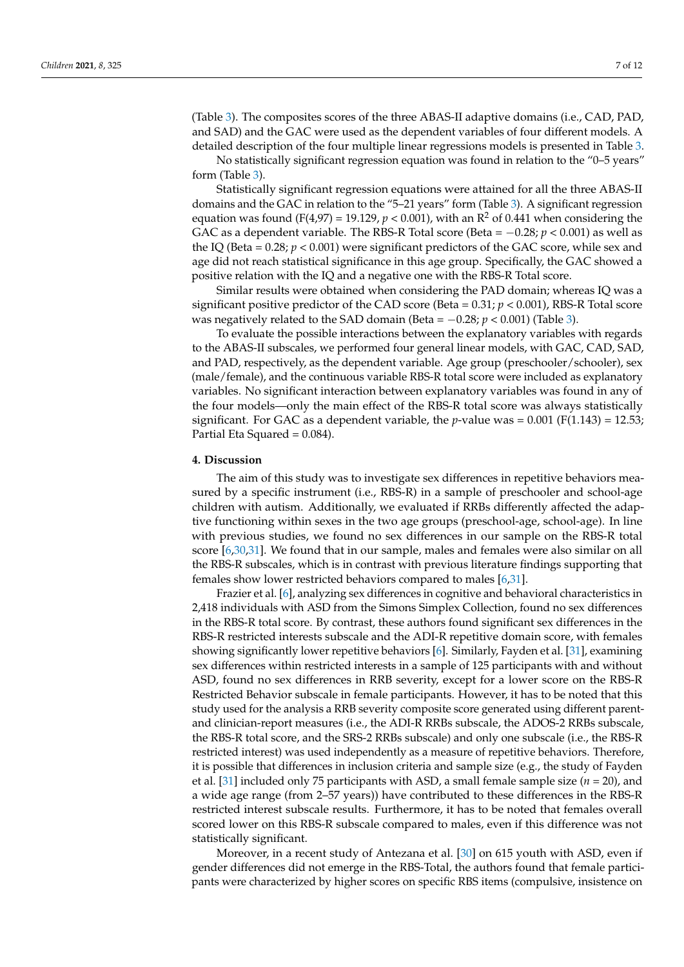(Table [3\)](#page-5-0). The composites scores of the three ABAS-II adaptive domains (i.e., CAD, PAD, and SAD) and the GAC were used as the dependent variables of four different models. A detailed description of the four multiple linear regressions models is presented in Table [3.](#page-5-0) No statistically significant regression equation was found in relation to the "0–5 years" form (Table [3\)](#page-5-0).

Statistically significant regression equations were attained for all the three ABAS-II domains and the GAC in relation to the "5–21 years" form (Table [3\)](#page-5-0). A significant regression equation was found (F(4,97) = 19.129,  $p < 0.001$ ), with an  $R^2$  of 0.441 when considering the GAC as a dependent variable. The RBS-R Total score (Beta = −0.28; *p* < 0.001) as well as the IQ (Beta  $= 0.28; p < 0.001$ ) were significant predictors of the GAC score, while sex and age did not reach statistical significance in this age group. Specifically, the GAC showed a positive relation with the IQ and a negative one with the RBS-R Total score.

Similar results were obtained when considering the PAD domain; whereas IQ was a significant positive predictor of the CAD score (Beta = 0.31; *p* < 0.001), RBS-R Total score was negatively related to the SAD domain (Beta = −0.28; *p* < 0.001) (Table [3\)](#page-5-0).

To evaluate the possible interactions between the explanatory variables with regards to the ABAS-II subscales, we performed four general linear models, with GAC, CAD, SAD, and PAD, respectively, as the dependent variable. Age group (preschooler/schooler), sex (male/female), and the continuous variable RBS-R total score were included as explanatory variables. No significant interaction between explanatory variables was found in any of the four models—only the main effect of the RBS-R total score was always statistically significant. For GAC as a dependent variable, the *p*-value was =  $0.001$  ( $F(1.143) = 12.53$ ; Partial Eta Squared = 0.084).

## **4. Discussion**

The aim of this study was to investigate sex differences in repetitive behaviors measured by a specific instrument (i.e., RBS-R) in a sample of preschooler and school-age children with autism. Additionally, we evaluated if RRBs differently affected the adaptive functioning within sexes in the two age groups (preschool-age, school-age). In line with previous studies, we found no sex differences in our sample on the RBS-R total score [\[6](#page-9-9)[,30](#page-10-18)[,31\]](#page-10-0). We found that in our sample, males and females were also similar on all the RBS-R subscales, which is in contrast with previous literature findings supporting that females show lower restricted behaviors compared to males [\[6,](#page-9-9)[31\]](#page-10-0).

Frazier et al. [\[6\]](#page-9-9), analyzing sex differences in cognitive and behavioral characteristics in 2,418 individuals with ASD from the Simons Simplex Collection, found no sex differences in the RBS-R total score. By contrast, these authors found significant sex differences in the RBS-R restricted interests subscale and the ADI-R repetitive domain score, with females showing significantly lower repetitive behaviors [\[6\]](#page-9-9). Similarly, Fayden et al. [\[31\]](#page-10-0), examining sex differences within restricted interests in a sample of 125 participants with and without ASD, found no sex differences in RRB severity, except for a lower score on the RBS-R Restricted Behavior subscale in female participants. However, it has to be noted that this study used for the analysis a RRB severity composite score generated using different parentand clinician-report measures (i.e., the ADI-R RRBs subscale, the ADOS-2 RRBs subscale, the RBS-R total score, and the SRS-2 RRBs subscale) and only one subscale (i.e., the RBS-R restricted interest) was used independently as a measure of repetitive behaviors. Therefore, it is possible that differences in inclusion criteria and sample size (e.g., the study of Fayden et al. [\[31\]](#page-10-0) included only 75 participants with ASD, a small female sample size  $(n = 20)$ , and a wide age range (from 2–57 years)) have contributed to these differences in the RBS-R restricted interest subscale results. Furthermore, it has to be noted that females overall scored lower on this RBS-R subscale compared to males, even if this difference was not statistically significant.

Moreover, in a recent study of Antezana et al. [\[30\]](#page-10-18) on 615 youth with ASD, even if gender differences did not emerge in the RBS-Total, the authors found that female participants were characterized by higher scores on specific RBS items (compulsive, insistence on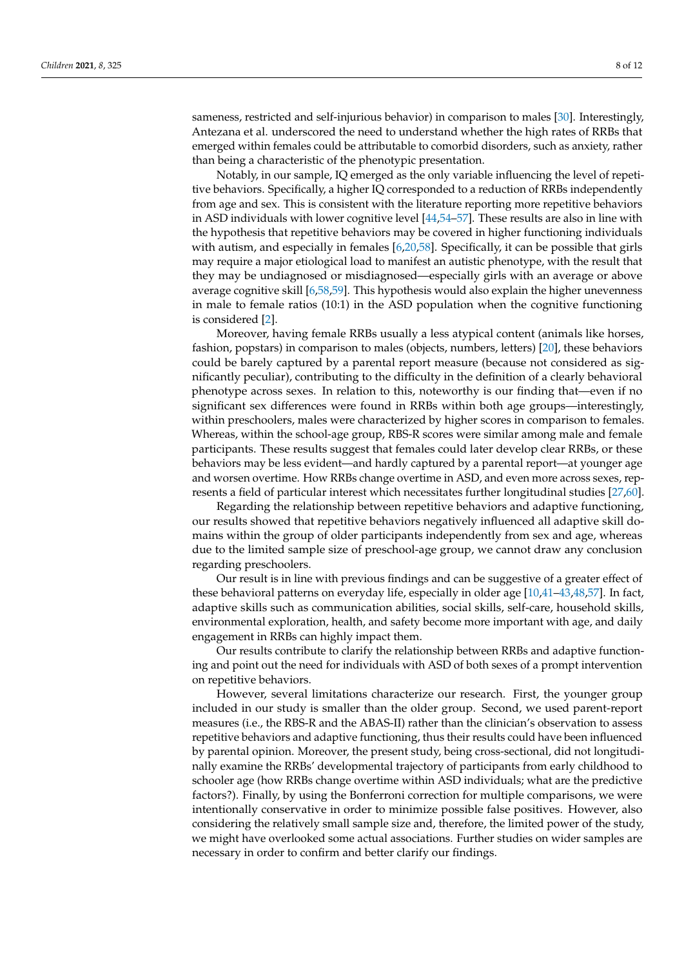sameness, restricted and self-injurious behavior) in comparison to males [\[30\]](#page-10-18). Interestingly, Antezana et al. underscored the need to understand whether the high rates of RRBs that emerged within females could be attributable to comorbid disorders, such as anxiety, rather than being a characteristic of the phenotypic presentation.

Notably, in our sample, IQ emerged as the only variable influencing the level of repetitive behaviors. Specifically, a higher IQ corresponded to a reduction of RRBs independently from age and sex. This is consistent with the literature reporting more repetitive behaviors in ASD individuals with lower cognitive level [\[44](#page-10-19)[,54–](#page-11-0)[57\]](#page-11-1). These results are also in line with the hypothesis that repetitive behaviors may be covered in higher functioning individuals with autism, and especially in females  $[6,20,58]$  $[6,20,58]$  $[6,20,58]$ . Specifically, it can be possible that girls may require a major etiological load to manifest an autistic phenotype, with the result that they may be undiagnosed or misdiagnosed—especially girls with an average or above average cognitive skill [\[6](#page-9-9)[,58,](#page-11-2)[59\]](#page-11-3). This hypothesis would also explain the higher unevenness in male to female ratios (10:1) in the ASD population when the cognitive functioning is considered [\[2\]](#page-9-1).

Moreover, having female RRBs usually a less atypical content (animals like horses, fashion, popstars) in comparison to males (objects, numbers, letters) [\[20\]](#page-9-14), these behaviors could be barely captured by a parental report measure (because not considered as significantly peculiar), contributing to the difficulty in the definition of a clearly behavioral phenotype across sexes. In relation to this, noteworthy is our finding that—even if no significant sex differences were found in RRBs within both age groups—interestingly, within preschoolers, males were characterized by higher scores in comparison to females. Whereas, within the school-age group, RBS-R scores were similar among male and female participants. These results suggest that females could later develop clear RRBs, or these behaviors may be less evident—and hardly captured by a parental report—at younger age and worsen overtime. How RRBs change overtime in ASD, and even more across sexes, represents a field of particular interest which necessitates further longitudinal studies [\[27](#page-10-1)[,60\]](#page-11-4).

Regarding the relationship between repetitive behaviors and adaptive functioning, our results showed that repetitive behaviors negatively influenced all adaptive skill domains within the group of older participants independently from sex and age, whereas due to the limited sample size of preschool-age group, we cannot draw any conclusion regarding preschoolers.

Our result is in line with previous findings and can be suggestive of a greater effect of these behavioral patterns on everyday life, especially in older age [\[10](#page-9-21)[,41–](#page-10-20)[43](#page-10-21)[,48,](#page-10-12)[57\]](#page-11-1). In fact, adaptive skills such as communication abilities, social skills, self-care, household skills, environmental exploration, health, and safety become more important with age, and daily engagement in RRBs can highly impact them.

Our results contribute to clarify the relationship between RRBs and adaptive functioning and point out the need for individuals with ASD of both sexes of a prompt intervention on repetitive behaviors.

However, several limitations characterize our research. First, the younger group included in our study is smaller than the older group. Second, we used parent-report measures (i.e., the RBS-R and the ABAS-II) rather than the clinician's observation to assess repetitive behaviors and adaptive functioning, thus their results could have been influenced by parental opinion. Moreover, the present study, being cross-sectional, did not longitudinally examine the RRBs' developmental trajectory of participants from early childhood to schooler age (how RRBs change overtime within ASD individuals; what are the predictive factors?). Finally, by using the Bonferroni correction for multiple comparisons, we were intentionally conservative in order to minimize possible false positives. However, also considering the relatively small sample size and, therefore, the limited power of the study, we might have overlooked some actual associations. Further studies on wider samples are necessary in order to confirm and better clarify our findings.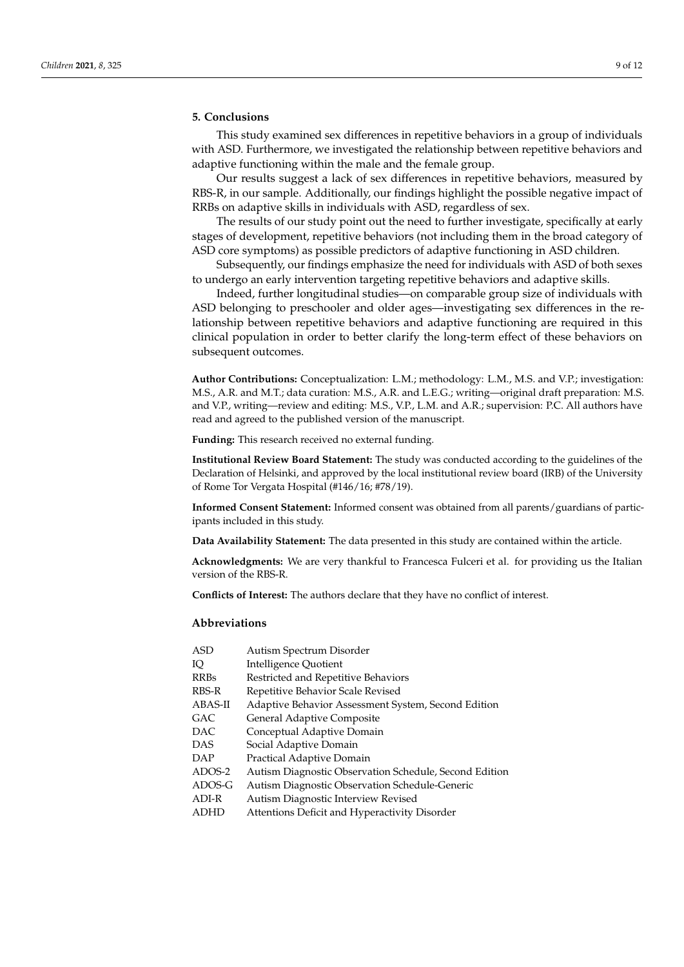# **5. Conclusions**

This study examined sex differences in repetitive behaviors in a group of individuals with ASD. Furthermore, we investigated the relationship between repetitive behaviors and adaptive functioning within the male and the female group.

Our results suggest a lack of sex differences in repetitive behaviors, measured by RBS-R, in our sample. Additionally, our findings highlight the possible negative impact of RRBs on adaptive skills in individuals with ASD, regardless of sex.

The results of our study point out the need to further investigate, specifically at early stages of development, repetitive behaviors (not including them in the broad category of ASD core symptoms) as possible predictors of adaptive functioning in ASD children.

Subsequently, our findings emphasize the need for individuals with ASD of both sexes to undergo an early intervention targeting repetitive behaviors and adaptive skills.

Indeed, further longitudinal studies—on comparable group size of individuals with ASD belonging to preschooler and older ages—investigating sex differences in the relationship between repetitive behaviors and adaptive functioning are required in this clinical population in order to better clarify the long-term effect of these behaviors on subsequent outcomes.

**Author Contributions:** Conceptualization: L.M.; methodology: L.M., M.S. and V.P.; investigation: M.S., A.R. and M.T.; data curation: M.S., A.R. and L.E.G.; writing—original draft preparation: M.S. and V.P., writing—review and editing: M.S., V.P., L.M. and A.R.; supervision: P.C. All authors have read and agreed to the published version of the manuscript.

**Funding:** This research received no external funding.

**Institutional Review Board Statement:** The study was conducted according to the guidelines of the Declaration of Helsinki, and approved by the local institutional review board (IRB) of the University of Rome Tor Vergata Hospital (#146/16; #78/19).

**Informed Consent Statement:** Informed consent was obtained from all parents/guardians of participants included in this study.

**Data Availability Statement:** The data presented in this study are contained within the article.

**Acknowledgments:** We are very thankful to Francesca Fulceri et al. for providing us the Italian version of the RBS-R.

**Conflicts of Interest:** The authors declare that they have no conflict of interest.

# **Abbreviations**

| ASD         | Autism Spectrum Disorder                               |
|-------------|--------------------------------------------------------|
| Ю           | Intelligence Quotient                                  |
| <b>RRBs</b> | Restricted and Repetitive Behaviors                    |
| RBS-R       | Repetitive Behavior Scale Revised                      |
| ABAS-II     | Adaptive Behavior Assessment System, Second Edition    |
| GAC         | General Adaptive Composite                             |
| DAC         | Conceptual Adaptive Domain                             |
| DAS         | Social Adaptive Domain                                 |
| DAP         | Practical Adaptive Domain                              |
| ADOS-2      | Autism Diagnostic Observation Schedule, Second Edition |
| ADOS-G      | Autism Diagnostic Observation Schedule-Generic         |
| ADI-R       | Autism Diagnostic Interview Revised                    |
| ADHD        | Attentions Deficit and Hyperactivity Disorder          |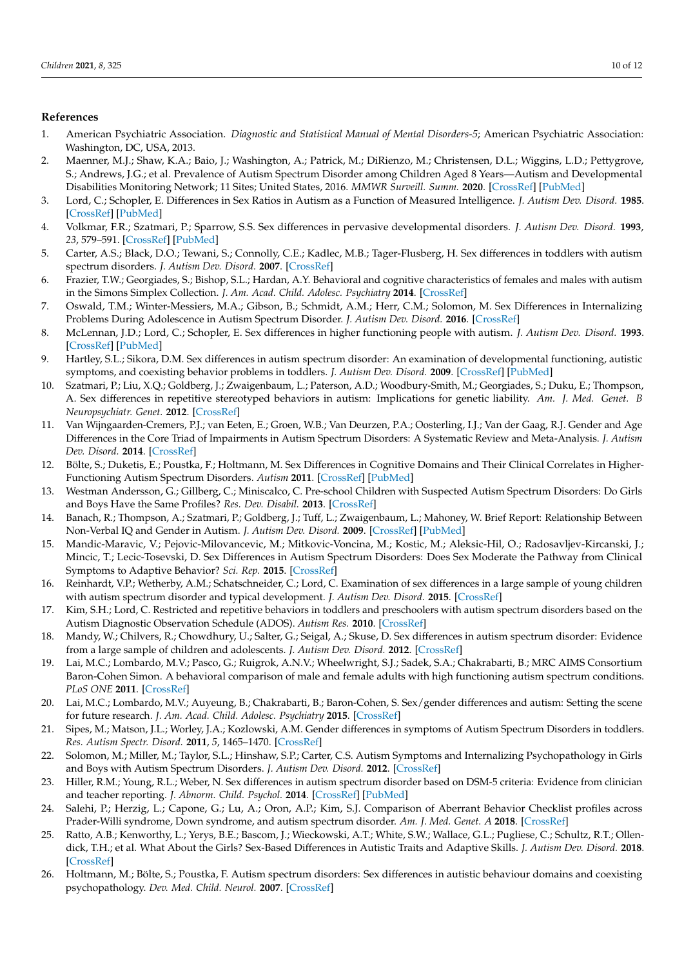# **References**

- <span id="page-9-0"></span>1. American Psychiatric Association. *Diagnostic and Statistical Manual of Mental Disorders-5*; American Psychiatric Association: Washington, DC, USA, 2013.
- <span id="page-9-1"></span>2. Maenner, M.J.; Shaw, K.A.; Baio, J.; Washington, A.; Patrick, M.; DiRienzo, M.; Christensen, D.L.; Wiggins, L.D.; Pettygrove, S.; Andrews, J.G.; et al. Prevalence of Autism Spectrum Disorder among Children Aged 8 Years—Autism and Developmental Disabilities Monitoring Network; 11 Sites; United States, 2016. *MMWR Surveill. Summ.* **2020**. [\[CrossRef\]](http://doi.org/10.15585/mmwr.ss6904a1) [\[PubMed\]](http://www.ncbi.nlm.nih.gov/pubmed/32214087)
- <span id="page-9-2"></span>3. Lord, C.; Schopler, E. Differences in Sex Ratios in Autism as a Function of Measured Intelligence. *J. Autism Dev. Disord.* **1985**. [\[CrossRef\]](http://doi.org/10.1007/BF01531604) [\[PubMed\]](http://www.ncbi.nlm.nih.gov/pubmed/3997745)
- <span id="page-9-7"></span>4. Volkmar, F.R.; Szatmari, P.; Sparrow, S.S. Sex differences in pervasive developmental disorders. *J. Autism Dev. Disord.* **1993**, *23*, 579–591. [\[CrossRef\]](http://doi.org/10.1007/BF01046103) [\[PubMed\]](http://www.ncbi.nlm.nih.gov/pubmed/8106301)
- <span id="page-9-5"></span>5. Carter, A.S.; Black, D.O.; Tewani, S.; Connolly, C.E.; Kadlec, M.B.; Tager-Flusberg, H. Sex differences in toddlers with autism spectrum disorders. *J. Autism Dev. Disord.* **2007**. [\[CrossRef\]](http://doi.org/10.1007/s10803-006-0331-7)
- <span id="page-9-9"></span>6. Frazier, T.W.; Georgiades, S.; Bishop, S.L.; Hardan, A.Y. Behavioral and cognitive characteristics of females and males with autism in the Simons Simplex Collection. *J. Am. Acad. Child. Adolesc. Psychiatry* **2014**. [\[CrossRef\]](http://doi.org/10.1016/j.jaac.2013.12.004)
- <span id="page-9-4"></span>7. Oswald, T.M.; Winter-Messiers, M.A.; Gibson, B.; Schmidt, A.M.; Herr, C.M.; Solomon, M. Sex Differences in Internalizing Problems During Adolescence in Autism Spectrum Disorder. *J. Autism Dev. Disord.* **2016**. [\[CrossRef\]](http://doi.org/10.1007/s10803-015-2608-1)
- <span id="page-9-15"></span>8. McLennan, J.D.; Lord, C.; Schopler, E. Sex differences in higher functioning people with autism. *J. Autism Dev. Disord.* **1993**. [\[CrossRef\]](http://doi.org/10.1007/BF01046216) [\[PubMed\]](http://www.ncbi.nlm.nih.gov/pubmed/8331044)
- <span id="page-9-6"></span>9. Hartley, S.L.; Sikora, D.M. Sex differences in autism spectrum disorder: An examination of developmental functioning, autistic symptoms, and coexisting behavior problems in toddlers. *J. Autism Dev. Disord.* **2009**. [\[CrossRef\]](http://doi.org/10.1007/s10803-009-0810-8) [\[PubMed\]](http://www.ncbi.nlm.nih.gov/pubmed/19582563)
- <span id="page-9-21"></span>10. Szatmari, P.; Liu, X.Q.; Goldberg, J.; Zwaigenbaum, L.; Paterson, A.D.; Woodbury-Smith, M.; Georgiades, S.; Duku, E.; Thompson, A. Sex differences in repetitive stereotyped behaviors in autism: Implications for genetic liability. *Am. J. Med. Genet. B Neuropsychiatr. Genet.* **2012**. [\[CrossRef\]](http://doi.org/10.1002/ajmg.b.31238)
- <span id="page-9-8"></span>11. Van Wijngaarden-Cremers, P.J.; van Eeten, E.; Groen, W.B.; Van Deurzen, P.A.; Oosterling, I.J.; Van der Gaag, R.J. Gender and Age Differences in the Core Triad of Impairments in Autism Spectrum Disorders: A Systematic Review and Meta-Analysis. *J. Autism Dev. Disord.* **2014**. [\[CrossRef\]](http://doi.org/10.1007/s10803-013-1913-9)
- <span id="page-9-10"></span>12. Bölte, S.; Duketis, E.; Poustka, F.; Holtmann, M. Sex Differences in Cognitive Domains and Their Clinical Correlates in Higher-Functioning Autism Spectrum Disorders. *Autism* **2011**. [\[CrossRef\]](http://doi.org/10.1177/1362361310391116) [\[PubMed\]](http://www.ncbi.nlm.nih.gov/pubmed/21454389)
- <span id="page-9-11"></span>13. Westman Andersson, G.; Gillberg, C.; Miniscalco, C. Pre-school Children with Suspected Autism Spectrum Disorders: Do Girls and Boys Have the Same Profiles? *Res. Dev. Disabil.* **2013**. [\[CrossRef\]](http://doi.org/10.1016/j.ridd.2012.08.025)
- 14. Banach, R.; Thompson, A.; Szatmari, P.; Goldberg, J.; Tuff, L.; Zwaigenbaum, L.; Mahoney, W. Brief Report: Relationship Between Non-Verbal IQ and Gender in Autism. *J. Autism Dev. Disord.* **2009**. [\[CrossRef\]](http://doi.org/10.1007/s10803-008-0612-4) [\[PubMed\]](http://www.ncbi.nlm.nih.gov/pubmed/18594959)
- <span id="page-9-18"></span>15. Mandic-Maravic, V.; Pejovic-Milovancevic, M.; Mitkovic-Voncina, M.; Kostic, M.; Aleksic-Hil, O.; Radosavljev-Kircanski, J.; Mincic, T.; Lecic-Tosevski, D. Sex Differences in Autism Spectrum Disorders: Does Sex Moderate the Pathway from Clinical Symptoms to Adaptive Behavior? *Sci. Rep.* **2015**. [\[CrossRef\]](http://doi.org/10.1038/srep10418)
- <span id="page-9-12"></span>16. Reinhardt, V.P.; Wetherby, A.M.; Schatschneider, C.; Lord, C. Examination of sex differences in a large sample of young children with autism spectrum disorder and typical development. *J. Autism Dev. Disord.* **2015**. [\[CrossRef\]](http://doi.org/10.1007/s10803-014-2223-6)
- <span id="page-9-13"></span>17. Kim, S.H.; Lord, C. Restricted and repetitive behaviors in toddlers and preschoolers with autism spectrum disorders based on the Autism Diagnostic Observation Schedule (ADOS). *Autism Res.* **2010**. [\[CrossRef\]](http://doi.org/10.1002/aur.142)
- 18. Mandy, W.; Chilvers, R.; Chowdhury, U.; Salter, G.; Seigal, A.; Skuse, D. Sex differences in autism spectrum disorder: Evidence from a large sample of children and adolescents. *J. Autism Dev. Disord.* **2012**. [\[CrossRef\]](http://doi.org/10.1007/s10803-011-1356-0)
- <span id="page-9-3"></span>19. Lai, M.C.; Lombardo, M.V.; Pasco, G.; Ruigrok, A.N.V.; Wheelwright, S.J.; Sadek, S.A.; Chakrabarti, B.; MRC AIMS Consortium Baron-Cohen Simon. A behavioral comparison of male and female adults with high functioning autism spectrum conditions. *PLoS ONE* **2011**. [\[CrossRef\]](http://doi.org/10.1371/journal.pone.0020835)
- <span id="page-9-14"></span>20. Lai, M.C.; Lombardo, M.V.; Auyeung, B.; Chakrabarti, B.; Baron-Cohen, S. Sex/gender differences and autism: Setting the scene for future research. *J. Am. Acad. Child. Adolesc. Psychiatry* **2015**. [\[CrossRef\]](http://doi.org/10.1016/j.jaac.2014.10.003)
- <span id="page-9-16"></span>21. Sipes, M.; Matson, J.L.; Worley, J.A.; Kozlowski, A.M. Gender differences in symptoms of Autism Spectrum Disorders in toddlers. *Res. Autism Spectr. Disord.* **2011**, *5*, 1465–1470. [\[CrossRef\]](http://doi.org/10.1016/j.rasd.2011.02.007)
- <span id="page-9-20"></span>22. Solomon, M.; Miller, M.; Taylor, S.L.; Hinshaw, S.P.; Carter, C.S. Autism Symptoms and Internalizing Psychopathology in Girls and Boys with Autism Spectrum Disorders. *J. Autism Dev. Disord.* **2012**. [\[CrossRef\]](http://doi.org/10.1007/s10803-011-1215-z)
- <span id="page-9-22"></span>23. Hiller, R.M.; Young, R.L.; Weber, N. Sex differences in autism spectrum disorder based on DSM-5 criteria: Evidence from clinician and teacher reporting. *J. Abnorm. Child. Psychol.* **2014**. [\[CrossRef\]](http://doi.org/10.1007/s10802-014-9881-x) [\[PubMed\]](http://www.ncbi.nlm.nih.gov/pubmed/24882502)
- 24. Salehi, P.; Herzig, L.; Capone, G.; Lu, A.; Oron, A.P.; Kim, S.J. Comparison of Aberrant Behavior Checklist profiles across Prader-Willi syndrome, Down syndrome, and autism spectrum disorder. *Am. J. Med. Genet. A* **2018**. [\[CrossRef\]](http://doi.org/10.1002/ajmg.a.40665)
- <span id="page-9-17"></span>25. Ratto, A.B.; Kenworthy, L.; Yerys, B.E.; Bascom, J.; Wieckowski, A.T.; White, S.W.; Wallace, G.L.; Pugliese, C.; Schultz, R.T.; Ollendick, T.H.; et al. What About the Girls? Sex-Based Differences in Autistic Traits and Adaptive Skills. *J. Autism Dev. Disord.* **2018**. [\[CrossRef\]](http://doi.org/10.1007/s10803-017-3413-9)
- <span id="page-9-19"></span>26. Holtmann, M.; Bölte, S.; Poustka, F. Autism spectrum disorders: Sex differences in autistic behaviour domains and coexisting psychopathology. *Dev. Med. Child. Neurol.* **2007**. [\[CrossRef\]](http://doi.org/10.1111/j.1469-8749.2007.00361.x)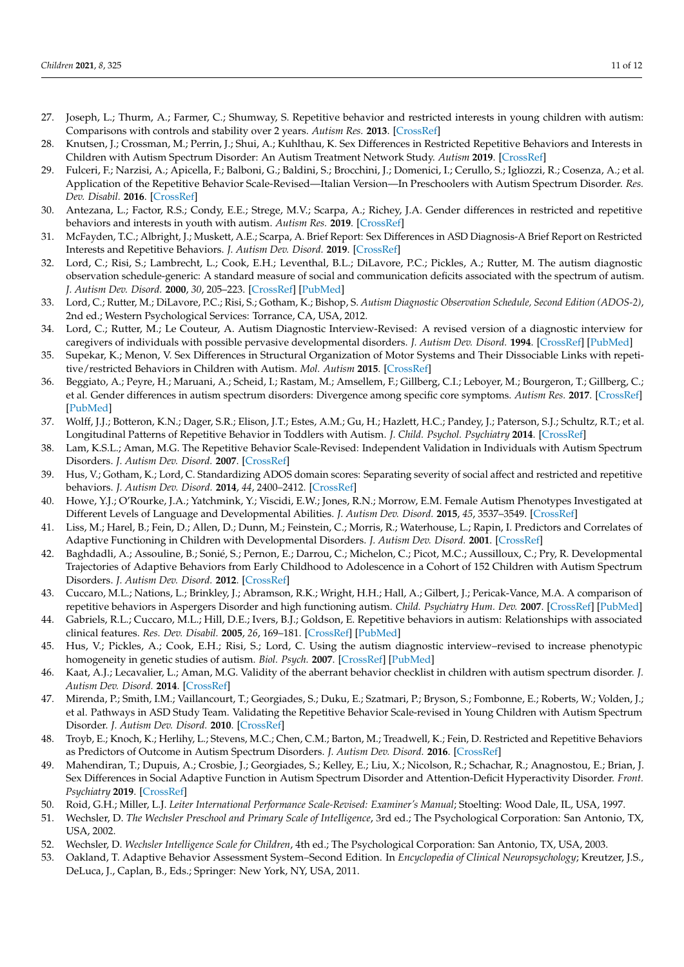- <span id="page-10-1"></span>27. Joseph, L.; Thurm, A.; Farmer, C.; Shumway, S. Repetitive behavior and restricted interests in young children with autism: Comparisons with controls and stability over 2 years. *Autism Res.* **2013**. [\[CrossRef\]](http://doi.org/10.1002/aur.1316)
- <span id="page-10-5"></span>28. Knutsen, J.; Crossman, M.; Perrin, J.; Shui, A.; Kuhlthau, K. Sex Differences in Restricted Repetitive Behaviors and Interests in Children with Autism Spectrum Disorder: An Autism Treatment Network Study. *Autism* **2019**. [\[CrossRef\]](http://doi.org/10.1177/1362361318786490)
- <span id="page-10-2"></span>29. Fulceri, F.; Narzisi, A.; Apicella, F.; Balboni, G.; Baldini, S.; Brocchini, J.; Domenici, I.; Cerullo, S.; Igliozzi, R.; Cosenza, A.; et al. Application of the Repetitive Behavior Scale-Revised—Italian Version—In Preschoolers with Autism Spectrum Disorder. *Res. Dev. Disabil.* **2016**. [\[CrossRef\]](http://doi.org/10.1016/j.ridd.2015.10.015)
- <span id="page-10-18"></span>30. Antezana, L.; Factor, R.S.; Condy, E.E.; Strege, M.V.; Scarpa, A.; Richey, J.A. Gender differences in restricted and repetitive behaviors and interests in youth with autism. *Autism Res.* **2019**. [\[CrossRef\]](http://doi.org/10.1002/aur.2049)
- <span id="page-10-0"></span>31. McFayden, T.C.; Albright, J.; Muskett, A.E.; Scarpa, A. Brief Report: Sex Differences in ASD Diagnosis-A Brief Report on Restricted Interests and Repetitive Behaviors. *J. Autism Dev. Disord.* **2019**. [\[CrossRef\]](http://doi.org/10.1007/s10803-018-3838-9)
- <span id="page-10-3"></span>32. Lord, C.; Risi, S.; Lambrecht, L.; Cook, E.H.; Leventhal, B.L.; DiLavore, P.C.; Pickles, A.; Rutter, M. The autism diagnostic observation schedule-generic: A standard measure of social and communication deficits associated with the spectrum of autism. *J. Autism Dev. Disord.* **2000**, *30*, 205–223. [\[CrossRef\]](http://doi.org/10.1023/A:1005592401947) [\[PubMed\]](http://www.ncbi.nlm.nih.gov/pubmed/11055457)
- <span id="page-10-4"></span>33. Lord, C.; Rutter, M.; DiLavore, P.C.; Risi, S.; Gotham, K.; Bishop, S. *Autism Diagnostic Observation Schedule, Second Edition (ADOS-2)*, 2nd ed.; Western Psychological Services: Torrance, CA, USA, 2012.
- <span id="page-10-6"></span>34. Lord, C.; Rutter, M.; Le Couteur, A. Autism Diagnostic Interview-Revised: A revised version of a diagnostic interview for caregivers of individuals with possible pervasive developmental disorders. *J. Autism Dev. Disord.* **1994**. [\[CrossRef\]](http://doi.org/10.1007/BF02172145) [\[PubMed\]](http://www.ncbi.nlm.nih.gov/pubmed/7814313)
- 35. Supekar, K.; Menon, V. Sex Differences in Structural Organization of Motor Systems and Their Dissociable Links with repetitive/restricted Behaviors in Children with Autism. *Mol. Autism* **2015**. [\[CrossRef\]](http://doi.org/10.1186/s13229-015-0042-z)
- <span id="page-10-7"></span>36. Beggiato, A.; Peyre, H.; Maruani, A.; Scheid, I.; Rastam, M.; Amsellem, F.; Gillberg, C.I.; Leboyer, M.; Bourgeron, T.; Gillberg, C.; et al. Gender differences in autism spectrum disorders: Divergence among specific core symptoms. *Autism Res.* **2017**. [\[CrossRef\]](http://doi.org/10.1002/aur.1715) [\[PubMed\]](http://www.ncbi.nlm.nih.gov/pubmed/27809408)
- <span id="page-10-8"></span>37. Wolff, J.J.; Botteron, K.N.; Dager, S.R.; Elison, J.T.; Estes, A.M.; Gu, H.; Hazlett, H.C.; Pandey, J.; Paterson, S.J.; Schultz, R.T.; et al. Longitudinal Patterns of Repetitive Behavior in Toddlers with Autism. *J. Child. Psychol. Psychiatry* **2014**. [\[CrossRef\]](http://doi.org/10.1111/jcpp.12207)
- <span id="page-10-9"></span>38. Lam, K.S.L.; Aman, M.G. The Repetitive Behavior Scale-Revised: Independent Validation in Individuals with Autism Spectrum Disorders. *J. Autism Dev. Disord.* **2007**. [\[CrossRef\]](http://doi.org/10.1007/s10803-006-0213-z)
- <span id="page-10-10"></span>39. Hus, V.; Gotham, K.; Lord, C. Standardizing ADOS domain scores: Separating severity of social affect and restricted and repetitive behaviors. *J. Autism Dev. Disord.* **2014**, *44*, 2400–2412. [\[CrossRef\]](http://doi.org/10.1007/s10803-012-1719-1)
- <span id="page-10-11"></span>40. Howe, Y.J.; O'Rourke, J.A.; Yatchmink, Y.; Viscidi, E.W.; Jones, R.N.; Morrow, E.M. Female Autism Phenotypes Investigated at Different Levels of Language and Developmental Abilities. *J. Autism Dev. Disord.* **2015**, *45*, 3537–3549. [\[CrossRef\]](http://doi.org/10.1007/s10803-015-2501-y)
- <span id="page-10-20"></span>41. Liss, M.; Harel, B.; Fein, D.; Allen, D.; Dunn, M.; Feinstein, C.; Morris, R.; Waterhouse, L.; Rapin, I. Predictors and Correlates of Adaptive Functioning in Children with Developmental Disorders. *J. Autism Dev. Disord.* **2001**. [\[CrossRef\]](http://doi.org/10.1023/A:1010707417274)
- 42. Baghdadli, A.; Assouline, B.; Sonié, S.; Pernon, E.; Darrou, C.; Michelon, C.; Picot, M.C.; Aussilloux, C.; Pry, R. Developmental Trajectories of Adaptive Behaviors from Early Childhood to Adolescence in a Cohort of 152 Children with Autism Spectrum Disorders. *J. Autism Dev. Disord.* **2012**. [\[CrossRef\]](http://doi.org/10.1007/s10803-011-1357-z)
- <span id="page-10-21"></span>43. Cuccaro, M.L.; Nations, L.; Brinkley, J.; Abramson, R.K.; Wright, H.H.; Hall, A.; Gilbert, J.; Pericak-Vance, M.A. A comparison of repetitive behaviors in Aspergers Disorder and high functioning autism. *Child. Psychiatry Hum. Dev.* **2007**. [\[CrossRef\]](http://doi.org/10.1007/s10578-007-0052-y) [\[PubMed\]](http://www.ncbi.nlm.nih.gov/pubmed/17410426)
- <span id="page-10-19"></span>44. Gabriels, R.L.; Cuccaro, M.L.; Hill, D.E.; Ivers, B.J.; Goldson, E. Repetitive behaviors in autism: Relationships with associated clinical features. *Res. Dev. Disabil.* **2005**, *26*, 169–181. [\[CrossRef\]](http://doi.org/10.1016/j.ridd.2004.05.003) [\[PubMed\]](http://www.ncbi.nlm.nih.gov/pubmed/15590247)
- 45. Hus, V.; Pickles, A.; Cook, E.H.; Risi, S.; Lord, C. Using the autism diagnostic interview–revised to increase phenotypic homogeneity in genetic studies of autism. *Biol. Psych.* **2007**. [\[CrossRef\]](http://doi.org/10.1016/j.biopsych.2006.08.044) [\[PubMed\]](http://www.ncbi.nlm.nih.gov/pubmed/17276746)
- 46. Kaat, A.J.; Lecavalier, L.; Aman, M.G. Validity of the aberrant behavior checklist in children with autism spectrum disorder. *J. Autism Dev. Disord.* **2014**. [\[CrossRef\]](http://doi.org/10.1007/s10803-013-1970-0)
- 47. Mirenda, P.; Smith, I.M.; Vaillancourt, T.; Georgiades, S.; Duku, E.; Szatmari, P.; Bryson, S.; Fombonne, E.; Roberts, W.; Volden, J.; et al. Pathways in ASD Study Team. Validating the Repetitive Behavior Scale-revised in Young Children with Autism Spectrum Disorder. *J. Autism Dev. Disord.* **2010**. [\[CrossRef\]](http://doi.org/10.1007/s10803-010-1012-0)
- <span id="page-10-12"></span>48. Troyb, E.; Knoch, K.; Herlihy, L.; Stevens, M.C.; Chen, C.M.; Barton, M.; Treadwell, K.; Fein, D. Restricted and Repetitive Behaviors as Predictors of Outcome in Autism Spectrum Disorders. *J. Autism Dev. Disord.* **2016**. [\[CrossRef\]](http://doi.org/10.1007/s10803-015-2668-2)
- <span id="page-10-13"></span>49. Mahendiran, T.; Dupuis, A.; Crosbie, J.; Georgiades, S.; Kelley, E.; Liu, X.; Nicolson, R.; Schachar, R.; Anagnostou, E.; Brian, J. Sex Differences in Social Adaptive Function in Autism Spectrum Disorder and Attention-Deficit Hyperactivity Disorder. *Front. Psychiatry* **2019**. [\[CrossRef\]](http://doi.org/10.3389/fpsyt.2019.00607)
- <span id="page-10-14"></span>50. Roid, G.H.; Miller, L.J. *Leiter International Performance Scale-Revised: Examiner's Manual*; Stoelting: Wood Dale, IL, USA, 1997.
- <span id="page-10-15"></span>51. Wechsler, D. *The Wechsler Preschool and Primary Scale of InteIligence*, 3rd ed.; The Psychological Corporation: San Antonio, TX, USA, 2002.
- <span id="page-10-16"></span>52. Wechsler, D. *Wechsler Intelligence Scale for Children*, 4th ed.; The Psychological Corporation: San Antonio, TX, USA, 2003.
- <span id="page-10-17"></span>53. Oakland, T. Adaptive Behavior Assessment System–Second Edition. In *Encyclopedia of Clinical Neuropsychology*; Kreutzer, J.S., DeLuca, J., Caplan, B., Eds.; Springer: New York, NY, USA, 2011.